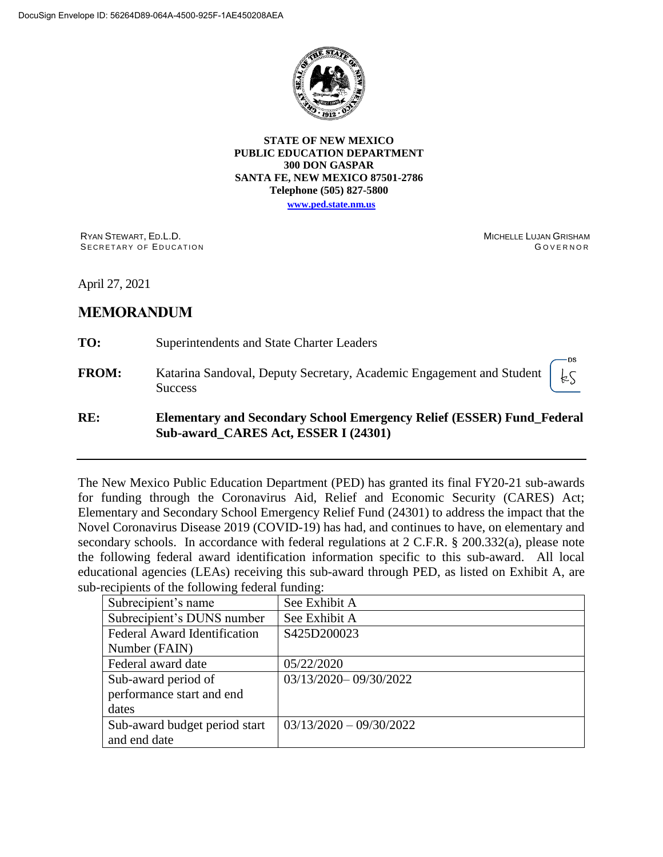

**STATE OF NEW MEXICO PUBLIC EDUCATION DEPARTMENT 300 DON GASPAR SANTA FE, NEW MEXICO 87501-2786 Telephone (505) 827-5800**

**[www.ped.state.nm.us](http://webnew.ped.state.nm.us/)**

RYAN STEWART, ED.L.D. SECRETARY OF EDUCATION MICHELLE LUJAN GRISHAM **GOVERNOR** 

April 27, 2021

# **MEMORANDUM**

**TO:** Superintendents and State Charter Leaders

**FROM:** Katarina Sandoval, Deputy Secretary, Academic Engagement and Student **Success** 



## **RE: Elementary and Secondary School Emergency Relief (ESSER) Fund\_Federal Sub-award\_CARES Act, ESSER I (24301)**

The New Mexico Public Education Department (PED) has granted its final FY20-21 sub-awards for funding through the Coronavirus Aid, Relief and Economic Security (CARES) Act; Elementary and Secondary School Emergency Relief Fund (24301) to address the impact that the Novel Coronavirus Disease 2019 (COVID-19) has had, and continues to have, on elementary and secondary schools. In accordance with federal regulations at 2 C.F.R. § 200.332(a), please note the following federal award identification information specific to this sub-award. All local educational agencies (LEAs) receiving this sub-award through PED, as listed on Exhibit A, are sub-recipients of the following federal funding:

| Subrecipient's name                 | See Exhibit A             |
|-------------------------------------|---------------------------|
| Subrecipient's DUNS number          | See Exhibit A             |
| <b>Federal Award Identification</b> | S425D200023               |
| Number (FAIN)                       |                           |
| Federal award date                  | 05/22/2020                |
| Sub-award period of                 | 03/13/2020-09/30/2022     |
| performance start and end           |                           |
| dates                               |                           |
| Sub-award budget period start       | $03/13/2020 - 09/30/2022$ |
| and end date                        |                           |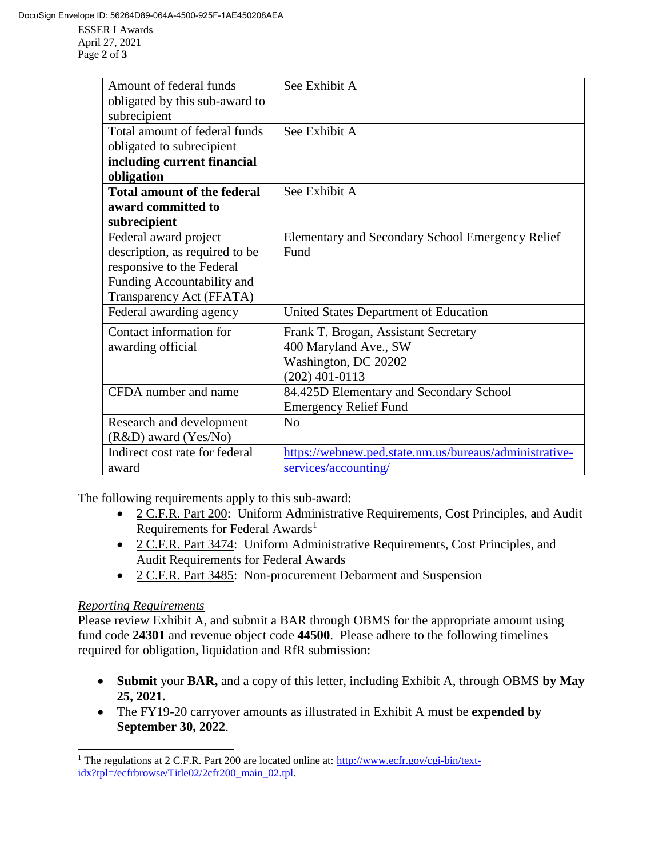ESSER I Awards April 27, 2021 Page **2** of **3**

| Amount of federal funds            | See Exhibit A                                          |
|------------------------------------|--------------------------------------------------------|
| obligated by this sub-award to     |                                                        |
| subrecipient                       |                                                        |
| Total amount of federal funds      | See Exhibit A                                          |
| obligated to subrecipient          |                                                        |
| including current financial        |                                                        |
| obligation                         |                                                        |
| <b>Total amount of the federal</b> | See Exhibit A                                          |
| award committed to                 |                                                        |
| subrecipient                       |                                                        |
| Federal award project              | Elementary and Secondary School Emergency Relief       |
| description, as required to be     | Fund                                                   |
| responsive to the Federal          |                                                        |
| Funding Accountability and         |                                                        |
| Transparency Act (FFATA)           |                                                        |
| Federal awarding agency            | United States Department of Education                  |
| Contact information for            | Frank T. Brogan, Assistant Secretary                   |
| awarding official                  | 400 Maryland Ave., SW                                  |
|                                    | Washington, DC 20202                                   |
|                                    | $(202)$ 401-0113                                       |
| CFDA number and name               | 84.425D Elementary and Secondary School                |
|                                    | <b>Emergency Relief Fund</b>                           |
| Research and development           | No                                                     |
| (R&D) award (Yes/No)               |                                                        |
| Indirect cost rate for federal     | https://webnew.ped.state.nm.us/bureaus/administrative- |
| award                              | services/accounting/                                   |

The following requirements apply to this sub-award:

- 2 C.F.R. Part 200: Uniform Administrative Requirements, Cost Principles, and Audit Requirements for Federal Awards<sup>1</sup>
- 2 C.F.R. Part 3474: Uniform Administrative Requirements, Cost Principles, and Audit Requirements for Federal Awards
- 2 C.F.R. Part 3485: Non-procurement Debarment and Suspension

## *Reporting Requirements*

 $\overline{a}$ 

Please review Exhibit A, and submit a BAR through OBMS for the appropriate amount using fund code **24301** and revenue object code **44500**. Please adhere to the following timelines required for obligation, liquidation and RfR submission:

- **Submit** your **BAR,** and a copy of this letter, including Exhibit A, through OBMS **by May 25, 2021.**
- The FY19-20 carryover amounts as illustrated in Exhibit A must be **expended by September 30, 2022**.

<sup>&</sup>lt;sup>1</sup> The regulations at 2 C.F.R. Part 200 are located online at: [http://www.ecfr.gov/cgi-bin/text](http://www.ecfr.gov/cgi-bin/text-idx?tpl=/ecfrbrowse/Title02/2cfr200_main_02.tpl)[idx?tpl=/ecfrbrowse/Title02/2cfr200\\_main\\_02.tpl.](http://www.ecfr.gov/cgi-bin/text-idx?tpl=/ecfrbrowse/Title02/2cfr200_main_02.tpl)